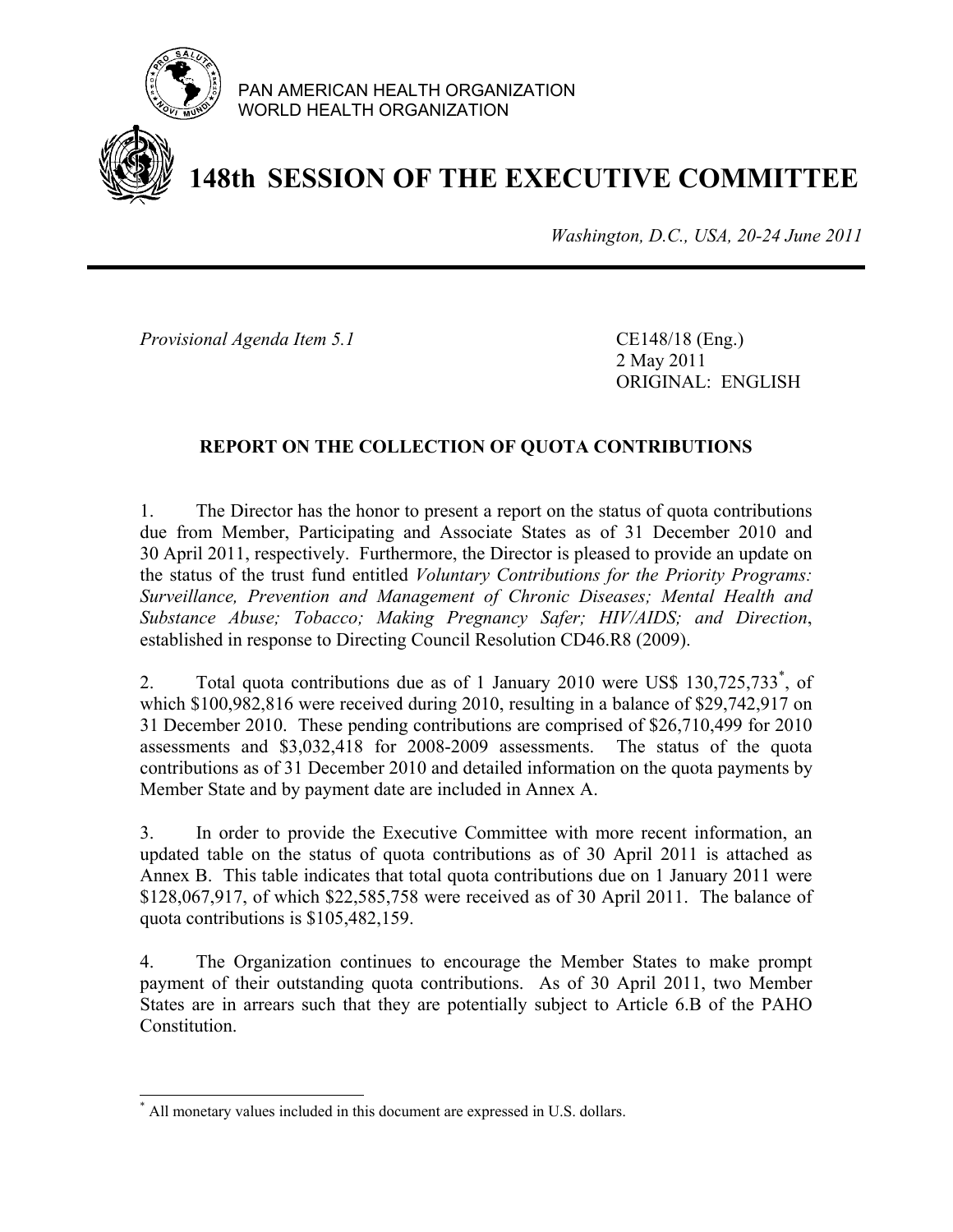

PAN AMERICAN HEALTH ORGANIZATION WORLD HEALTH ORGANIZATION

# **148th SESSION OF THE EXECUTIVE COMMITTEE**

*Washington, D.C., USA, 20-24 June 2011*

*Provisional Agenda Item 5.1* CE148/18 (Eng.)

 2 May 2011 ORIGINAL: ENGLISH

### **REPORT ON THE COLLECTION OF QUOTA CONTRIBUTIONS**

1. The Director has the honor to present a report on the status of quota contributions due from Member, Participating and Associate States as of 31 December 2010 and 30 April 2011, respectively. Furthermore, the Director is pleased to provide an update on the status of the trust fund entitled *Voluntary Contributions for the Priority Programs: Surveillance, Prevention and Management of Chronic Diseases; Mental Health and Substance Abuse; Tobacco; Making Pregnancy Safer; HIV/AIDS; and Direction*, established in response to Directing Council Resolution CD46.R8 (2009).

2. Total quota contributions due as of 1 January 2010 were US\$ 130,725,733<sup>\*</sup>, of which \$100,982,816 were received during 2010, resulting in a balance of \$29,742,917 on 31 December 2010. These pending contributions are comprised of \$26,710,499 for 2010 assessments and \$3,032,418 for 2008-2009 assessments. The status of the quota contributions as of 31 December 2010 and detailed information on the quota payments by Member State and by payment date are included in Annex A.

3. In order to provide the Executive Committee with more recent information, an updated table on the status of quota contributions as of 30 April 2011 is attached as Annex B. This table indicates that total quota contributions due on 1 January 2011 were \$128,067,917, of which \$22,585,758 were received as of 30 April 2011. The balance of quota contributions is \$105,482,159.

4. The Organization continues to encourage the Member States to make prompt payment of their outstanding quota contributions. As of 30 April 2011, two Member States are in arrears such that they are potentially subject to Article 6.B of the PAHO Constitution.

 $\overline{a}$ \* All monetary values included in this document are expressed in U.S. dollars.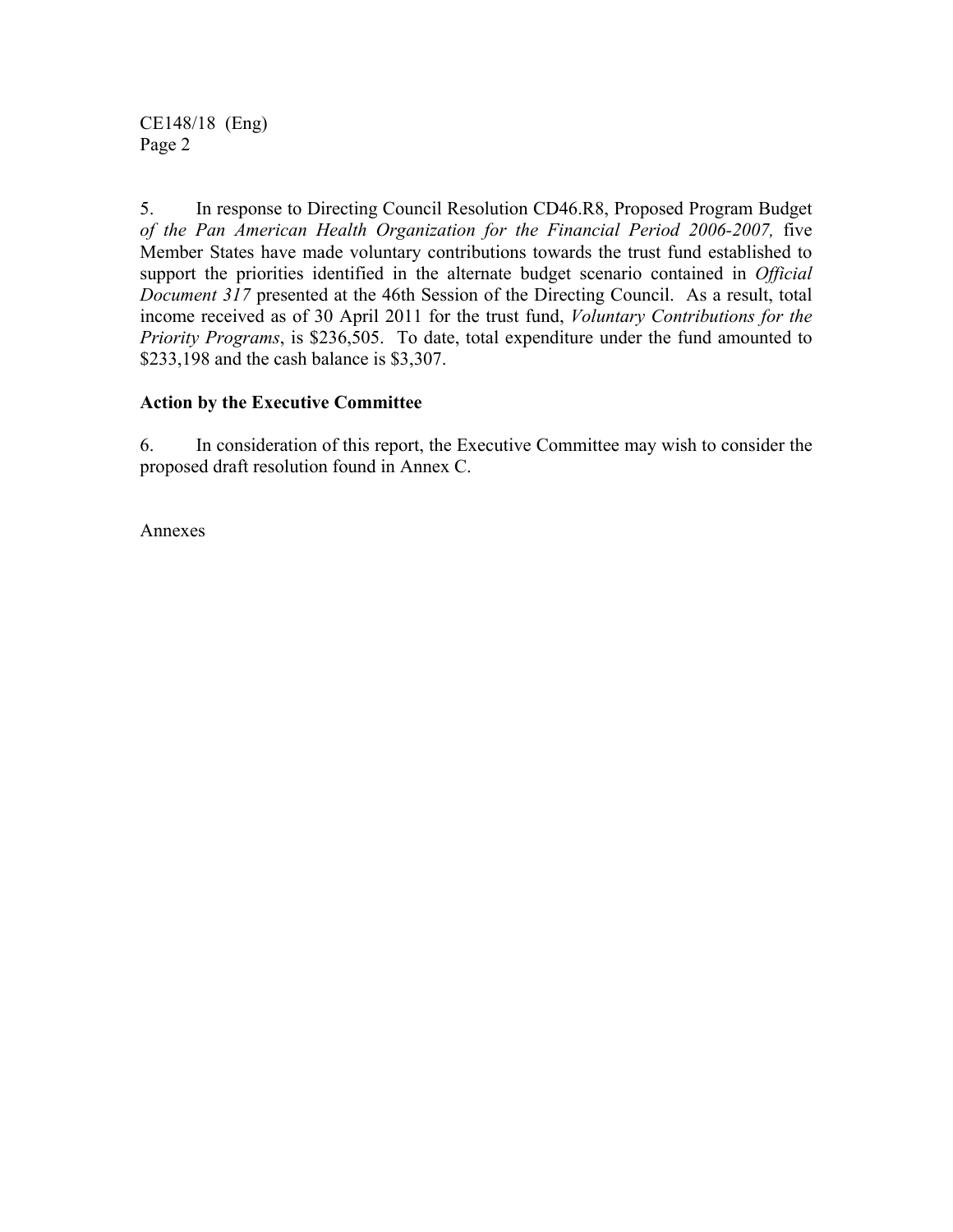CE148/18 (Eng) Page 2

5. In response to Directing Council Resolution CD46.R8, Proposed Program Budget *of the Pan American Health Organization for the Financial Period 2006-2007,* five Member States have made voluntary contributions towards the trust fund established to support the priorities identified in the alternate budget scenario contained in *Official Document 317* presented at the 46th Session of the Directing Council. As a result, total income received as of 30 April 2011 for the trust fund, *Voluntary Contributions for the Priority Programs*, is \$236,505. To date, total expenditure under the fund amounted to \$233,198 and the cash balance is \$3,307.

### **Action by the Executive Committee**

6. In consideration of this report, the Executive Committee may wish to consider the proposed draft resolution found in Annex C.

Annexes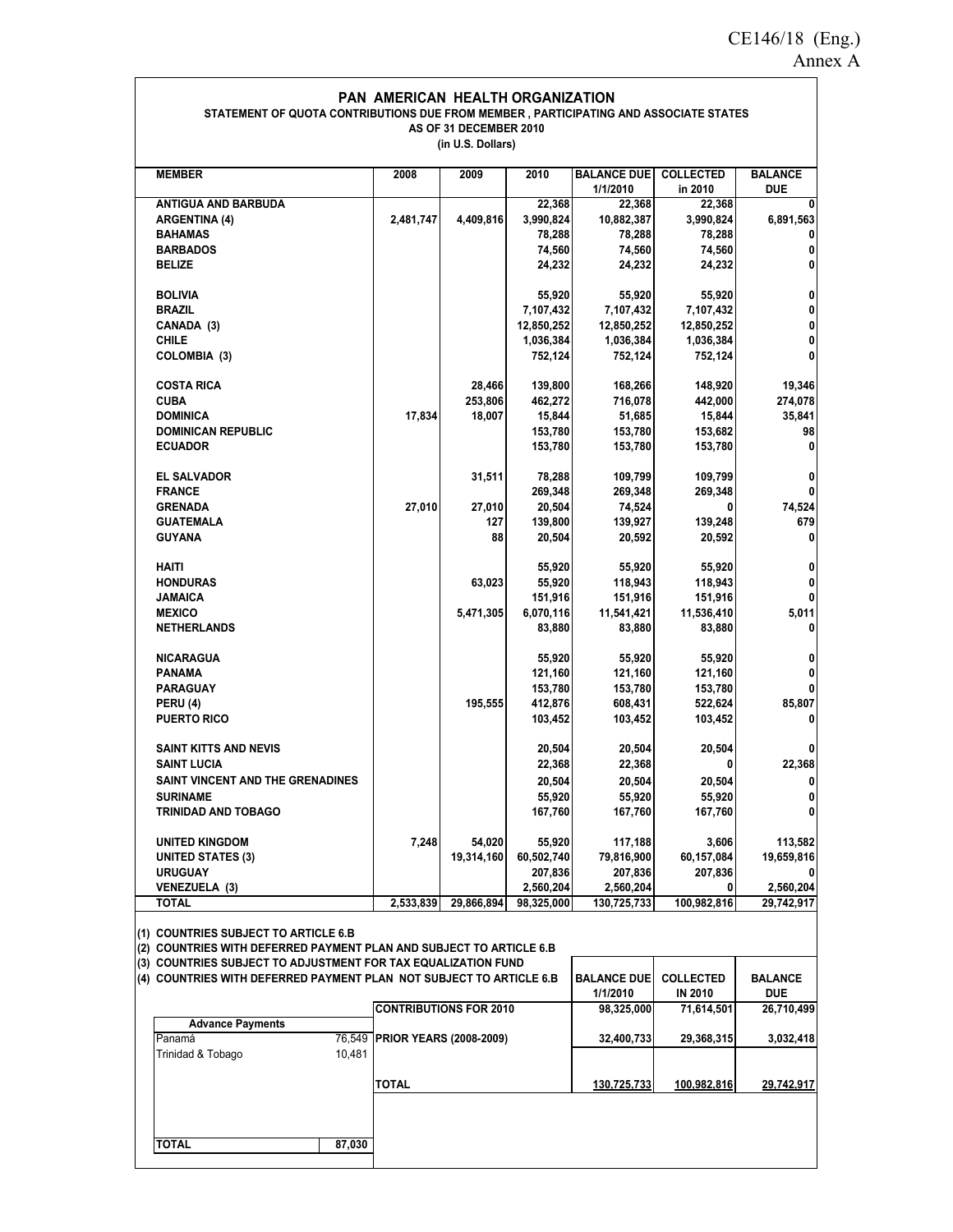$\overline{\phantom{a}}$ 

### **PAN AMERICAN HEALTH ORGANIZATION STATEMENT OF QUOTA CONTRIBUTIONS DUE FROM MEMBER , PARTICIPATING AND ASSOCIATE STATES AS OF 31 DECEMBER 2010**

**(in U.S. Dollars)**

| <b>MEMBER</b>                                                       | 2008                           | 2009                          | 2010       | <b>BALANCE DUE</b> | <b>COLLECTED</b> | <b>BALANCE</b> |
|---------------------------------------------------------------------|--------------------------------|-------------------------------|------------|--------------------|------------------|----------------|
|                                                                     |                                |                               |            | 1/1/2010           | in 2010          | DUE            |
| ANTIGUA AND BARBUDA                                                 |                                |                               | 22,368     | 22,368             | 22,368           | 0              |
| <b>ARGENTINA (4)</b>                                                | 2,481,747                      | 4,409,816                     | 3,990,824  | 10,882,387         | 3,990,824        | 6,891,563      |
| <b>BAHAMAS</b>                                                      |                                |                               | 78,288     | 78,288             | 78,288           | 0              |
| <b>BARBADOS</b>                                                     |                                |                               | 74,560     | 74,560             | 74,560           | 0              |
| <b>BELIZE</b>                                                       |                                |                               | 24,232     | 24,232             | 24,232           | 0              |
|                                                                     |                                |                               |            |                    |                  |                |
| <b>BOLIVIA</b>                                                      |                                |                               | 55,920     | 55,920             | 55,920           | 0              |
| <b>BRAZIL</b>                                                       |                                |                               | 7,107,432  | 7,107,432          | 7,107,432        | 0              |
| CANADA (3)                                                          |                                |                               | 12,850,252 | 12,850,252         | 12,850,252       | 0              |
| <b>CHILE</b>                                                        |                                |                               | 1,036,384  | 1,036,384          | 1,036,384        | 0              |
| COLOMBIA (3)                                                        |                                |                               | 752,124    | 752,124            | 752,124          | 0              |
|                                                                     |                                |                               |            |                    |                  |                |
| <b>COSTA RICA</b>                                                   |                                | 28,466                        | 139,800    | 168,266            | 148,920          | 19,346         |
| <b>CUBA</b>                                                         |                                | 253,806                       | 462,272    | 716,078            | 442,000          | 274,078        |
| <b>DOMINICA</b>                                                     | 17,834                         | 18,007                        | 15,844     | 51,685             | 15,844           | 35,841         |
| <b>DOMINICAN REPUBLIC</b>                                           |                                |                               | 153,780    | 153,780            | 153,682          | 98             |
|                                                                     |                                |                               |            |                    |                  |                |
| <b>ECUADOR</b>                                                      |                                |                               | 153,780    | 153,780            | 153,780          | 0              |
|                                                                     |                                |                               |            |                    | 109,799          |                |
| EL SALVADOR                                                         |                                | 31,511                        | 78,288     | 109,799            |                  | 0              |
| <b>FRANCE</b>                                                       |                                |                               | 269,348    | 269,348            | 269,348          | $\bf{0}$       |
| GRENADA                                                             | 27,010                         | 27,010                        | 20,504     | 74,524             | 0                | 74,524         |
| GUATEMALA                                                           |                                | 127                           | 139,800    | 139,927            | 139,248          | 679            |
| <b>GUYANA</b>                                                       |                                | 88                            | 20,504     | 20,592             | 20,592           | 0              |
|                                                                     |                                |                               |            |                    |                  |                |
| <b>HAITI</b>                                                        |                                |                               | 55,920     | 55,920             | 55,920           | 0              |
| <b>HONDURAS</b>                                                     |                                | 63,023                        | 55,920     | 118,943            | 118,943          | $\pmb{0}$      |
| JAMAICA                                                             |                                |                               | 151,916    | 151,916            | 151,916          | 0              |
| <b>MEXICO</b>                                                       |                                | 5,471,305                     | 6,070,116  | 11,541,421         | 11,536,410       | 5,011          |
| NETHERLANDS                                                         |                                |                               | 83,880     | 83,880             | 83,880           | 0              |
|                                                                     |                                |                               |            |                    |                  |                |
| <b>NICARAGUA</b>                                                    |                                |                               | 55,920     | 55,920             | 55,920           | 0              |
| PANAMA                                                              |                                |                               | 121,160    | 121,160            | 121,160          | 0              |
| PARAGUAY                                                            |                                |                               | 153,780    | 153,780            | 153,780          | 0              |
|                                                                     |                                | 195,555                       | 412,876    | 608,431            | 522,624          | 85,807         |
| PERU (4)                                                            |                                |                               |            |                    |                  |                |
| <b>PUERTO RICO</b>                                                  |                                |                               | 103,452    | 103,452            | 103,452          | 0              |
|                                                                     |                                |                               |            |                    |                  |                |
| SAINT KITTS AND NEVIS                                               |                                |                               | 20,504     | 20,504             | 20,504           | 0              |
| SAINT LUCIA                                                         |                                |                               | 22,368     | 22,368             | 0                | 22,368         |
| SAINT VINCENT AND THE GRENADINES                                    |                                |                               | 20,504     | 20,504             | 20,504           | 0              |
| <b>SURINAME</b>                                                     |                                |                               | 55,920     | 55,920             | 55,920           | 0              |
| <b>TRINIDAD AND TOBAGO</b>                                          |                                |                               | 167,760    | 167,760            | 167,760          | $\bf{0}$       |
|                                                                     |                                |                               |            |                    |                  |                |
| <b>UNITED KINGDOM</b>                                               | 7,248                          | 54,020                        | 55,920     | 117,188            | 3,606            | 113,582        |
| <b>UNITED STATES (3)</b>                                            |                                | 19,314,160                    | 60,502,740 | 79,816,900         | 60,157,084       | 19,659,816     |
| URUGUAY                                                             |                                |                               | 207,836    | 207,836            | 207,836          |                |
| <b>VENEZUELA (3)</b>                                                |                                |                               | 2,560,204  | 2,560,204          | 0                | 2,560,204      |
| TOTAL                                                               | 2,533,839                      | 29,866,894                    | 98,325,000 | 130,725,733        | 100,982,816      | 29,742,917     |
|                                                                     |                                |                               |            |                    |                  |                |
| (1) COUNTRIES SUBJECT TO ARTICLE 6.B                                |                                |                               |            |                    |                  |                |
| (2) COUNTRIES WITH DEFERRED PAYMENT PLAN AND SUBJECT TO ARTICLE 6.B |                                |                               |            |                    |                  |                |
| (3) COUNTRIES SUBJECT TO ADJUSTMENT FOR TAX EQUALIZATION FUND       |                                |                               |            |                    |                  |                |
| (4) COUNTRIES WITH DEFERRED PAYMENT PLAN NOT SUBJECT TO ARTICLE 6.B |                                |                               |            | <b>BALANCE DUE</b> | <b>COLLECTED</b> | <b>BALANCE</b> |
|                                                                     |                                |                               |            | 1/1/2010           | <b>IN 2010</b>   | <b>DUE</b>     |
|                                                                     |                                |                               |            |                    |                  |                |
| <b>Advance Payments</b>                                             |                                | <b>CONTRIBUTIONS FOR 2010</b> |            | 98,325,000         | 71,614,501       | 26,710,499     |
|                                                                     |                                |                               |            |                    |                  |                |
| Panamá                                                              | 76,549 PRIOR YEARS (2008-2009) |                               |            | 32,400,733         | 29,368,315       | 3,032,418      |
| Trinidad & Tobago<br>10,481                                         |                                |                               |            |                    |                  |                |
|                                                                     |                                |                               |            |                    |                  |                |
|                                                                     | <b>TOTAL</b>                   |                               |            | 130,725,733        | 100,982,816      | 29,742,917     |
|                                                                     |                                |                               |            |                    |                  |                |
|                                                                     |                                |                               |            |                    |                  |                |
|                                                                     |                                |                               |            |                    |                  |                |
| <b>TOTAL</b><br>87,030                                              |                                |                               |            |                    |                  |                |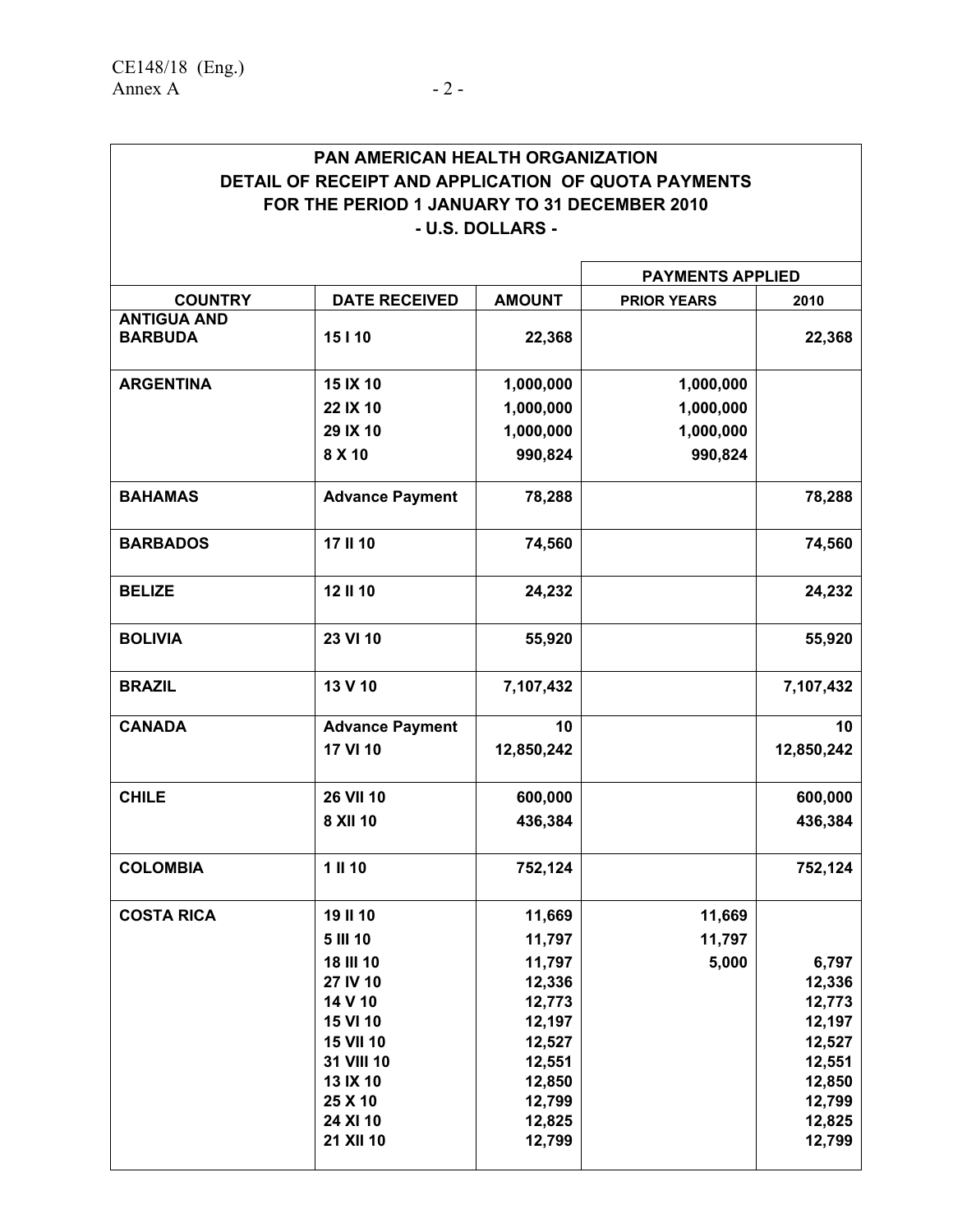### **PAN AMERICAN HEALTH ORGANIZATION DETAIL OF RECEIPT AND APPLICATION OF QUOTA PAYMENTS FOR THE PERIOD 1 JANUARY TO 31 DECEMBER 2010 - U.S. DOLLARS -**

|                                      |                        |                  |                    | <b>PAYMENTS APPLIED</b> |  |  |
|--------------------------------------|------------------------|------------------|--------------------|-------------------------|--|--|
| <b>COUNTRY</b>                       | <b>DATE RECEIVED</b>   | <b>AMOUNT</b>    | <b>PRIOR YEARS</b> | 2010                    |  |  |
| <b>ANTIGUA AND</b><br><b>BARBUDA</b> | 15110                  | 22,368           |                    | 22,368                  |  |  |
| <b>ARGENTINA</b>                     | 15 IX 10               | 1,000,000        | 1,000,000          |                         |  |  |
|                                      | 22 IX 10               | 1,000,000        | 1,000,000          |                         |  |  |
|                                      | 29 IX 10               | 1,000,000        | 1,000,000          |                         |  |  |
|                                      | 8 X 10                 | 990,824          | 990,824            |                         |  |  |
| <b>BAHAMAS</b>                       | <b>Advance Payment</b> | 78,288           |                    | 78,288                  |  |  |
| <b>BARBADOS</b>                      | 17 II 10               | 74,560           |                    | 74,560                  |  |  |
| <b>BELIZE</b>                        | 12 II 10               | 24,232           |                    | 24,232                  |  |  |
| <b>BOLIVIA</b>                       | 23 VI 10               | 55,920           |                    | 55,920                  |  |  |
| <b>BRAZIL</b>                        | 13 V 10                | 7,107,432        |                    | 7,107,432               |  |  |
| <b>CANADA</b>                        | <b>Advance Payment</b> | 10               |                    | 10                      |  |  |
|                                      | 17 VI 10               | 12,850,242       |                    | 12,850,242              |  |  |
| <b>CHILE</b>                         | <b>26 VII 10</b>       | 600,000          |                    | 600,000                 |  |  |
|                                      | 8 XII 10               | 436,384          |                    | 436,384                 |  |  |
| <b>COLOMBIA</b>                      | 1 II 10                | 752,124          |                    | 752,124                 |  |  |
| <b>COSTA RICA</b>                    | 19 II 10               | 11,669           | 11,669             |                         |  |  |
|                                      | 5 III 10               | 11,797           | 11,797             |                         |  |  |
|                                      | 18 III 10              | 11,797           | 5,000              | 6,797                   |  |  |
|                                      | 27 IV 10               | 12,336           |                    | 12,336                  |  |  |
|                                      | 14 V 10                | 12,773           |                    | 12,773                  |  |  |
|                                      | 15 VI 10               | 12,197           |                    | 12,197                  |  |  |
|                                      | <b>15 VII 10</b>       | 12,527           |                    | 12,527                  |  |  |
|                                      | 31 VIII 10<br>13 IX 10 | 12,551<br>12,850 |                    | 12,551<br>12,850        |  |  |
|                                      | 25 X 10                | 12,799           |                    | 12,799                  |  |  |
|                                      | 24 XI 10               | 12,825           |                    | 12,825                  |  |  |
|                                      | 21 XII 10              | 12,799           |                    | 12,799                  |  |  |
|                                      |                        |                  |                    |                         |  |  |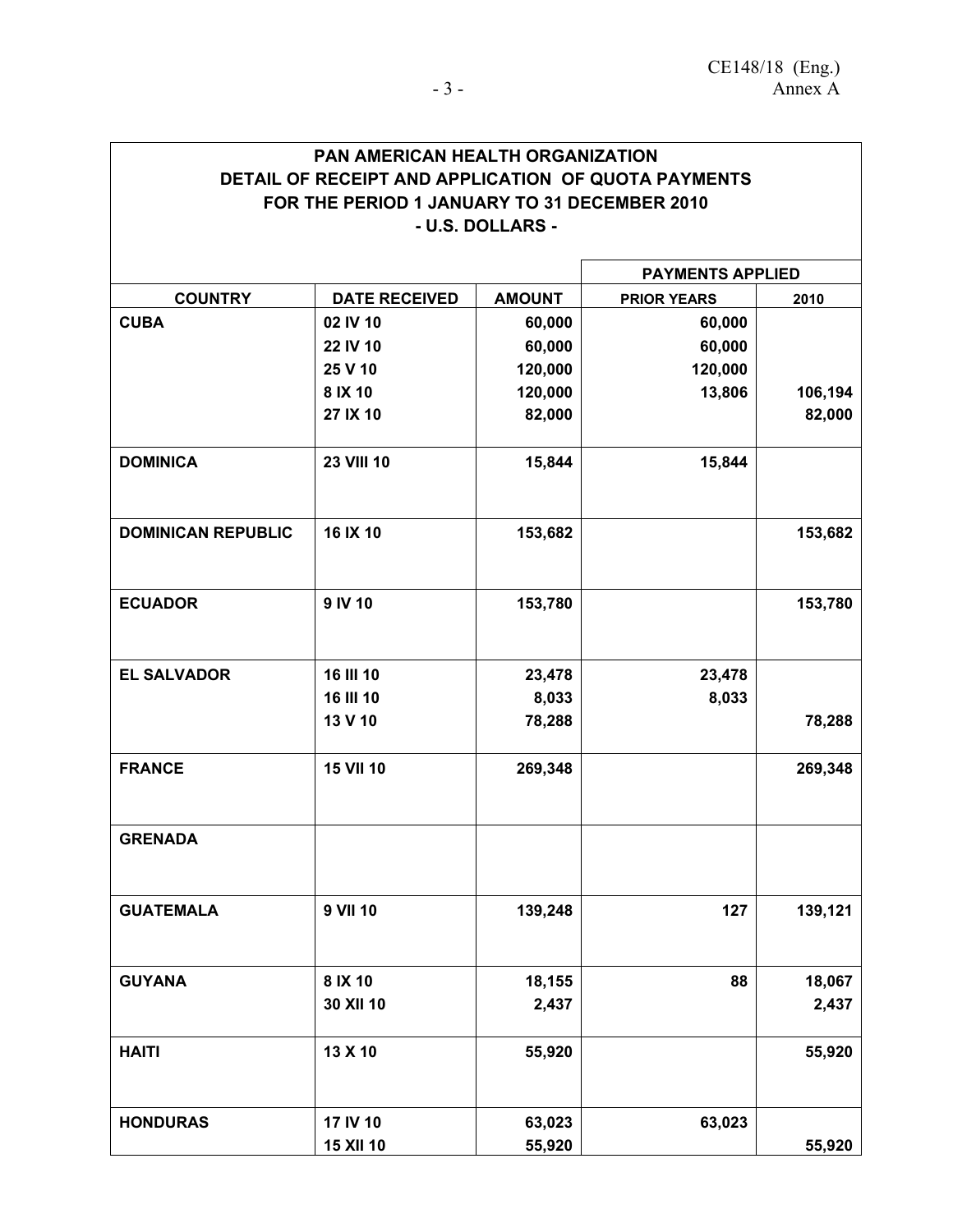| <b>PAN AMERICAN HEALTH ORGANIZATION</b>             |  |  |  |  |  |
|-----------------------------------------------------|--|--|--|--|--|
| DETAIL OF RECEIPT AND APPLICATION OF QUOTA PAYMENTS |  |  |  |  |  |
| FOR THE PERIOD 1 JANUARY TO 31 DECEMBER 2010        |  |  |  |  |  |
| - U.S. DOLLARS -                                    |  |  |  |  |  |

|                           |                      |               |                    | <b>PAYMENTS APPLIED</b> |  |  |  |
|---------------------------|----------------------|---------------|--------------------|-------------------------|--|--|--|
| <b>COUNTRY</b>            | <b>DATE RECEIVED</b> | <b>AMOUNT</b> | <b>PRIOR YEARS</b> | 2010                    |  |  |  |
| <b>CUBA</b>               | 02 IV 10             | 60,000        | 60,000             |                         |  |  |  |
|                           | 22 IV 10             | 60,000        | 60,000             |                         |  |  |  |
|                           | 25 V 10              | 120,000       | 120,000            |                         |  |  |  |
|                           | 8 IX 10              | 120,000       | 13,806             | 106,194                 |  |  |  |
|                           | 27 IX 10             | 82,000        |                    | 82,000                  |  |  |  |
| <b>DOMINICA</b>           | <b>23 VIII 10</b>    | 15,844        | 15,844             |                         |  |  |  |
| <b>DOMINICAN REPUBLIC</b> | 16 IX 10             | 153,682       |                    | 153,682                 |  |  |  |
| <b>ECUADOR</b>            | 9 IV 10              | 153,780       |                    | 153,780                 |  |  |  |
| <b>EL SALVADOR</b>        | 16 III 10            | 23,478        | 23,478             |                         |  |  |  |
|                           | 16 III 10            | 8,033         | 8,033              |                         |  |  |  |
|                           | 13 V 10              | 78,288        |                    | 78,288                  |  |  |  |
| <b>FRANCE</b>             | <b>15 VII 10</b>     | 269,348       |                    | 269,348                 |  |  |  |
| <b>GRENADA</b>            |                      |               |                    |                         |  |  |  |
| <b>GUATEMALA</b>          | 9 VII 10             | 139,248       | 127                | 139,121                 |  |  |  |
| <b>GUYANA</b>             | 8 IX 10              | 18,155        | 88                 | 18,067                  |  |  |  |
|                           | 30 XII 10            | 2,437         |                    | 2,437                   |  |  |  |
| <b>HAITI</b>              | 13 X 10              | 55,920        |                    | 55,920                  |  |  |  |
| <b>HONDURAS</b>           | 17 IV 10             | 63,023        | 63,023             |                         |  |  |  |
|                           | 15 XII 10            | 55,920        |                    | 55,920                  |  |  |  |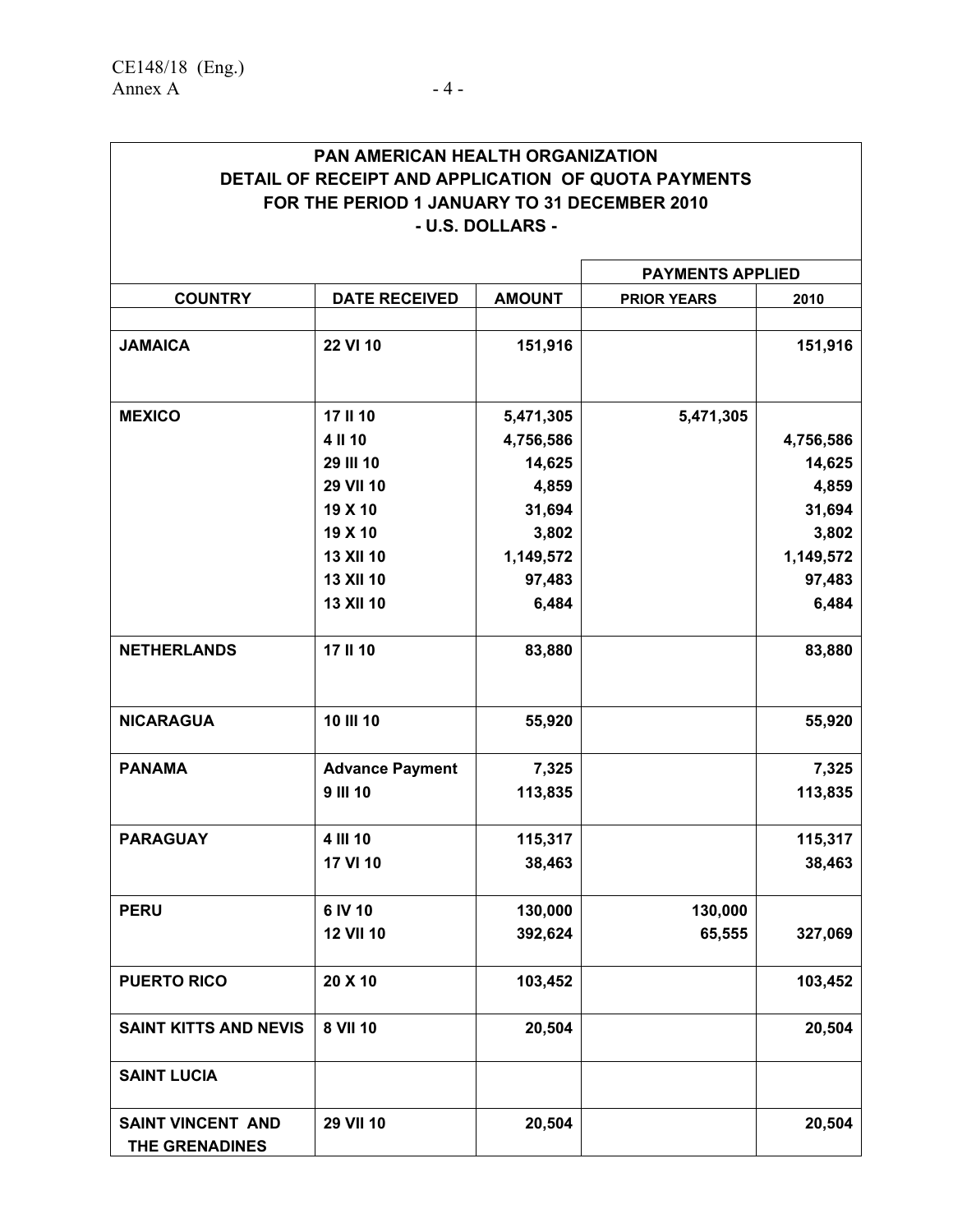| <b>PAN AMERICAN HEALTH ORGANIZATION</b>             |  |  |  |  |  |
|-----------------------------------------------------|--|--|--|--|--|
| DETAIL OF RECEIPT AND APPLICATION OF QUOTA PAYMENTS |  |  |  |  |  |
| FOR THE PERIOD 1 JANUARY TO 31 DECEMBER 2010        |  |  |  |  |  |
| - U.S. DOLLARS -                                    |  |  |  |  |  |

|                                            |                        |                        | <b>PAYMENTS APPLIED</b> |           |  |  |
|--------------------------------------------|------------------------|------------------------|-------------------------|-----------|--|--|
| <b>COUNTRY</b>                             | <b>DATE RECEIVED</b>   | <b>AMOUNT</b>          | <b>PRIOR YEARS</b>      | 2010      |  |  |
|                                            |                        |                        |                         |           |  |  |
| <b>JAMAICA</b>                             | 22 VI 10               | 151,916                |                         | 151,916   |  |  |
| <b>MEXICO</b>                              | 17 II 10               |                        |                         |           |  |  |
|                                            | 4 II 10                | 5,471,305<br>4,756,586 | 5,471,305               | 4,756,586 |  |  |
|                                            | 29 III 10              | 14,625                 |                         | 14,625    |  |  |
|                                            | 29 VII 10              | 4,859                  |                         | 4,859     |  |  |
|                                            | 19 X 10                | 31,694                 |                         | 31,694    |  |  |
|                                            | 19 X 10                | 3,802                  |                         | 3,802     |  |  |
|                                            | 13 XII 10              | 1,149,572              |                         | 1,149,572 |  |  |
|                                            | 13 XII 10              | 97,483                 |                         | 97,483    |  |  |
|                                            | 13 XII 10              | 6,484                  |                         | 6,484     |  |  |
| <b>NETHERLANDS</b>                         | 17 II 10               | 83,880                 |                         | 83,880    |  |  |
| <b>NICARAGUA</b>                           | 10 III 10              | 55,920                 |                         | 55,920    |  |  |
| <b>PANAMA</b>                              | <b>Advance Payment</b> | 7,325                  |                         | 7,325     |  |  |
|                                            | <b>9 III 10</b>        | 113,835                |                         | 113,835   |  |  |
| <b>PARAGUAY</b>                            | 4 III 10               | 115,317                |                         | 115,317   |  |  |
|                                            | 17 VI 10               | 38,463                 |                         | 38,463    |  |  |
| <b>PERU</b>                                | 6 IV 10                | 130,000                | 130,000                 |           |  |  |
|                                            | <b>12 VII 10</b>       | 392,624                | 65,555                  | 327,069   |  |  |
| <b>PUERTO RICO</b>                         | 20 X 10                | 103,452                |                         | 103,452   |  |  |
| <b>SAINT KITTS AND NEVIS</b>               | 8 VII 10               | 20,504                 |                         | 20,504    |  |  |
| <b>SAINT LUCIA</b>                         |                        |                        |                         |           |  |  |
| <b>SAINT VINCENT AND</b><br>THE GRENADINES | 29 VII 10              | 20,504                 |                         | 20,504    |  |  |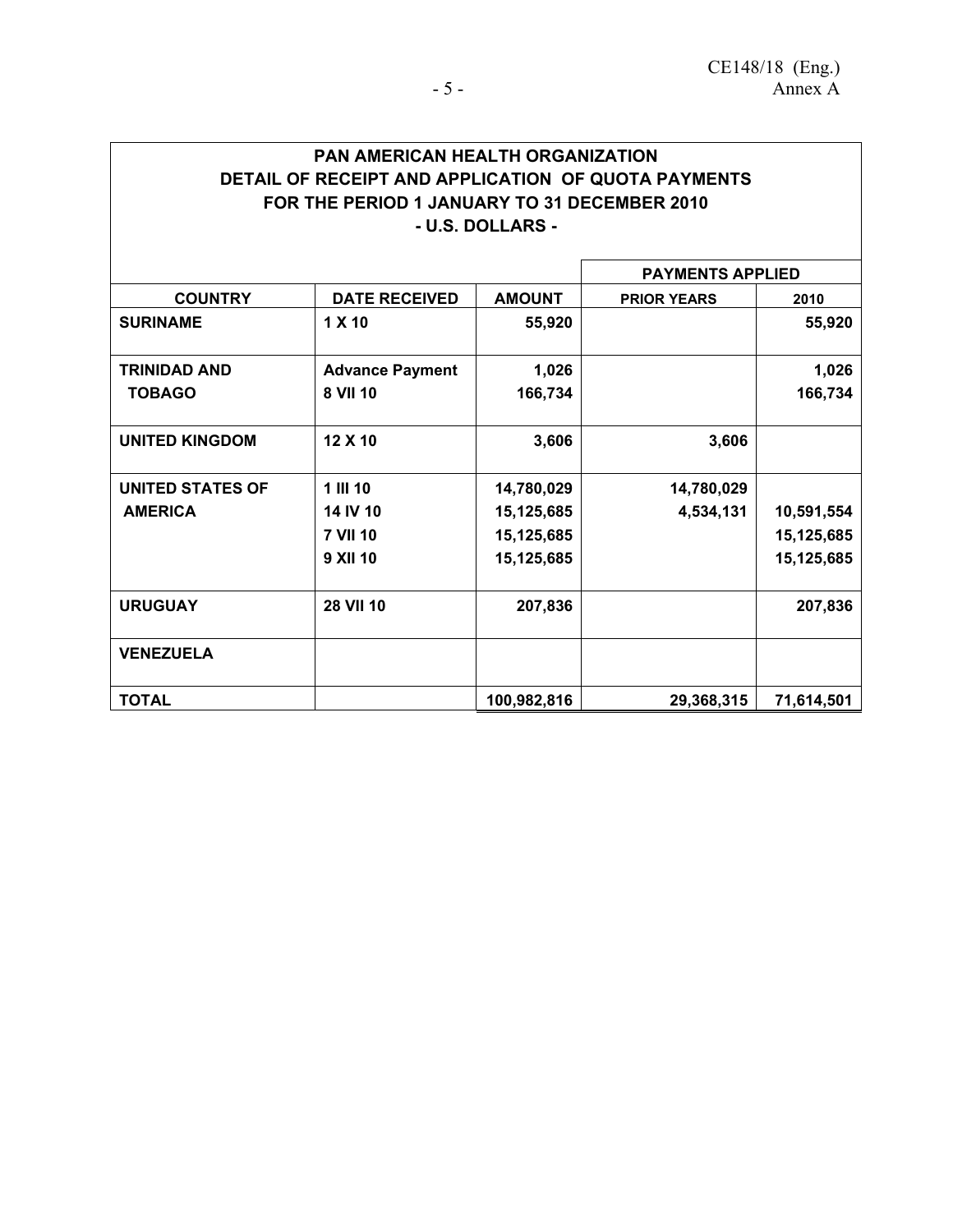### **PAN AMERICAN HEALTH ORGANIZATION DETAIL OF RECEIPT AND APPLICATION OF QUOTA PAYMENTS FOR THE PERIOD 1 JANUARY TO 31 DECEMBER 2010 - U.S. DOLLARS -**

|                         |                        |               | <b>PAYMENTS APPLIED</b> |            |
|-------------------------|------------------------|---------------|-------------------------|------------|
| <b>COUNTRY</b>          | <b>DATE RECEIVED</b>   | <b>AMOUNT</b> | <b>PRIOR YEARS</b>      | 2010       |
| <b>SURINAME</b>         | 1 X 10                 | 55,920        |                         | 55,920     |
| <b>TRINIDAD AND</b>     | <b>Advance Payment</b> | 1,026         |                         | 1,026      |
| <b>TOBAGO</b>           | 8 VII 10               | 166,734       |                         | 166,734    |
| <b>UNITED KINGDOM</b>   | 12 X 10                | 3,606         | 3,606                   |            |
| <b>UNITED STATES OF</b> | 1 III 10               | 14,780,029    | 14,780,029              |            |
| <b>AMERICA</b>          | 14 IV 10               | 15,125,685    | 4,534,131               | 10,591,554 |
|                         | <b>7 VII 10</b>        | 15,125,685    |                         | 15,125,685 |
|                         | <b>9 XII 10</b>        | 15,125,685    |                         | 15,125,685 |
| <b>URUGUAY</b>          | <b>28 VII 10</b>       | 207,836       |                         | 207,836    |
| <b>VENEZUELA</b>        |                        |               |                         |            |
| <b>TOTAL</b>            |                        | 100,982,816   | 29,368,315              | 71,614,501 |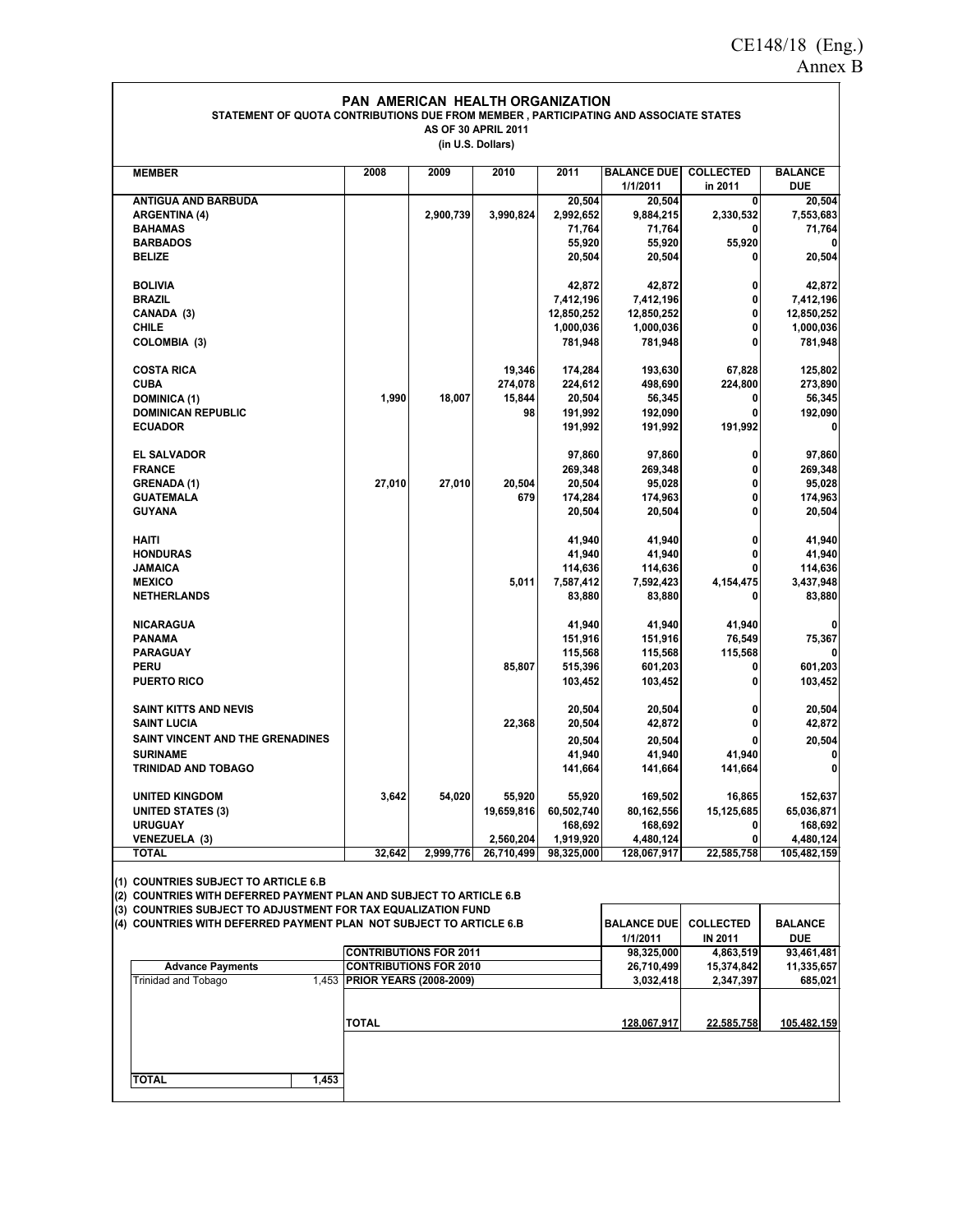#### **PAN AMERICAN HEALTH ORGANIZATION STATEMENT OF QUOTA CONTRIBUTIONS DUE FROM MEMBER , PARTICIPATING AND ASSOCIATE STATES AS OF 30 APRIL 2011**

**(in U.S. Dollars)**

| <b>MEMBER</b>                                                       | 2008                          | 2009                                                           | 2010         | 2011              | <b>BALANCE DUE</b><br>1/1/2011 | <b>COLLECTED</b><br>in 2011 | <b>BALANCE</b><br><b>DUE</b> |
|---------------------------------------------------------------------|-------------------------------|----------------------------------------------------------------|--------------|-------------------|--------------------------------|-----------------------------|------------------------------|
| <b>ANTIGUA AND BARBUDA</b>                                          |                               |                                                                |              | 20,504            | 20,504                         | 0                           | 20,504                       |
| <b>ARGENTINA (4)</b>                                                |                               | 2,900,739                                                      | 3,990,824    | 2,992,652         | 9,884,215                      | 2,330,532                   | 7,553,683                    |
| <b>BAHAMAS</b>                                                      |                               |                                                                |              | 71,764            | 71,764                         |                             | 71,764                       |
| <b>BARBADOS</b>                                                     |                               |                                                                |              | 55,920            | 55,920                         | 55,920                      |                              |
| <b>BELIZE</b>                                                       |                               |                                                                |              | 20,504            | 20,504                         | 0                           | 20,504                       |
|                                                                     |                               |                                                                |              |                   |                                |                             |                              |
| <b>BOLIVIA</b>                                                      |                               |                                                                |              | 42,872            | 42,872                         | 0                           | 42,872                       |
| <b>BRAZIL</b>                                                       |                               |                                                                |              | 7,412,196         | 7,412,196                      | 0                           | 7,412,196                    |
| CANADA (3)                                                          |                               |                                                                |              | 12,850,252        | 12,850,252                     | 0                           | 12,850,252                   |
| CHILE                                                               |                               |                                                                |              | 1,000,036         | 1,000,036                      | 0                           | 1,000,036                    |
| COLOMBIA (3)                                                        |                               |                                                                |              | 781,948           | 781,948                        | 0                           | 781,948                      |
| <b>COSTA RICA</b>                                                   |                               |                                                                | 19,346       | 174,284           | 193,630                        | 67,828                      | 125,802                      |
| CUBA                                                                |                               |                                                                |              |                   |                                |                             |                              |
|                                                                     |                               |                                                                | 274,078      | 224,612           | 498,690                        | 224,800<br>0                | 273,890                      |
| <b>DOMINICA (1)</b><br>DOMINICAN REPUBLIC                           | 1,990                         | 18,007                                                         | 15,844<br>98 | 20,504<br>191,992 | 56,345<br>192,090              |                             | 56,345<br>192,090            |
| <b>ECUADOR</b>                                                      |                               |                                                                |              | 191,992           | 191,992                        | 191,992                     | 0                            |
|                                                                     |                               |                                                                |              |                   |                                |                             |                              |
| <b>EL SALVADOR</b>                                                  |                               |                                                                |              | 97,860            | 97,860                         | 0                           | 97,860                       |
| <b>FRANCE</b>                                                       |                               |                                                                |              | 269,348           | 269,348                        | 0                           | 269,348                      |
| <b>GRENADA (1)</b>                                                  | 27,010                        | 27,010                                                         | 20,504       | 20,504            | 95,028                         | 0                           | 95,028                       |
| <b>GUATEMALA</b>                                                    |                               |                                                                | 679          | 174,284           | 174,963                        | 0                           | 174,963                      |
| GUYANA                                                              |                               |                                                                |              | 20,504            | 20,504                         | 0                           | 20,504                       |
| <b>HAITI</b>                                                        |                               |                                                                |              | 41,940            | 41,940                         | 0                           | 41,940                       |
| <b>HONDURAS</b>                                                     |                               |                                                                |              | 41,940            | 41,940                         | 0                           | 41,940                       |
| JAMAICA                                                             |                               |                                                                |              | 114,636           | 114,636                        |                             | 114,636                      |
| <b>MEXICO</b>                                                       |                               |                                                                | 5,011        | 7,587,412         | 7,592,423                      | 4,154,475                   | 3,437,948                    |
| <b>NETHERLANDS</b>                                                  |                               |                                                                |              | 83,880            | 83,880                         | 0                           | 83,880                       |
| NICARAGUA                                                           |                               |                                                                |              | 41,940            | 41,940                         | 41,940                      | 0                            |
| PANAMA                                                              |                               |                                                                |              | 151,916           | 151,916                        | 76,549                      | 75,367                       |
| PARAGUAY                                                            |                               |                                                                |              | 115,568           | 115,568                        | 115,568                     |                              |
| PERU                                                                |                               |                                                                | 85,807       | 515,396           | 601,203                        | 0                           | 601,203                      |
| <b>PUERTO RICO</b>                                                  |                               |                                                                |              | 103,452           | 103,452                        | 0                           | 103,452                      |
|                                                                     |                               |                                                                |              |                   |                                |                             |                              |
| SAINT KITTS AND NEVIS                                               |                               |                                                                |              | 20,504            | 20,504                         | 0                           | 20,504                       |
| <b>SAINT LUCIA</b>                                                  |                               |                                                                | 22,368       | 20,504            | 42,872                         | 0                           | 42,872                       |
| SAINT VINCENT AND THE GRENADINES                                    |                               |                                                                |              | 20,504            | 20,504                         |                             | 20,504                       |
| <b>SURINAME</b>                                                     |                               |                                                                |              | 41,940            | 41,940                         | 41,940                      | 0                            |
| TRINIDAD AND TOBAGO                                                 |                               |                                                                |              | 141,664           | 141,664                        | 141,664                     | 0                            |
| <b>UNITED KINGDOM</b>                                               | 3,642                         | 54,020                                                         | 55,920       | 55,920            | 169,502                        | 16,865                      | 152,637                      |
| <b>UNITED STATES (3)</b>                                            |                               |                                                                | 19,659,816   | 60,502,740        | 80,162,556                     | 15,125,685                  | 65,036,871                   |
| <b>URUGUAY</b>                                                      |                               |                                                                |              | 168,692           | 168,692                        | 0                           | 168,692                      |
| VENEZUELA (3)                                                       |                               |                                                                | 2,560,204    | 1,919,920         | 4,480,124                      | 0                           | 4,480,124                    |
| <b>TOTAL</b>                                                        | 32,642                        | 2,999,776                                                      | 26,710,499   | 98,325,000        | 128,067,917                    | 22,585,758                  | 105,482,159                  |
|                                                                     |                               |                                                                |              |                   |                                |                             |                              |
| (1) COUNTRIES SUBJECT TO ARTICLE 6.B                                |                               |                                                                |              |                   |                                |                             |                              |
| (2) COUNTRIES WITH DEFERRED PAYMENT PLAN AND SUBJECT TO ARTICLE 6.B |                               |                                                                |              |                   |                                |                             |                              |
| (3) COUNTRIES SUBJECT TO ADJUSTMENT FOR TAX EQUALIZATION FUND       |                               |                                                                |              |                   |                                |                             |                              |
| (4) COUNTRIES WITH DEFERRED PAYMENT PLAN NOT SUBJECT TO ARTICLE 6.B |                               |                                                                |              |                   | <b>BALANCE DUE</b>             | <b>COLLECTED</b>            | <b>BALANCE</b>               |
|                                                                     |                               |                                                                |              |                   | 1/1/2011                       | <b>IN 2011</b>              | DUE                          |
| <b>Advance Payments</b>                                             |                               | <b>CONTRIBUTIONS FOR 2011</b><br><b>CONTRIBUTIONS FOR 2010</b> |              |                   | 98,325,000<br>26,710,499       | 4,863,519<br>15,374,842     | 93,461,481<br>11,335,657     |
| Trinidad and Tobago                                                 | 1,453 PRIOR YEARS (2008-2009) |                                                                |              |                   |                                | 2,347,397                   | 685,021                      |
|                                                                     |                               |                                                                |              |                   | 3,032,418                      |                             |                              |
|                                                                     |                               |                                                                |              |                   |                                |                             |                              |
|                                                                     | TOTAL                         |                                                                |              |                   | 128,067,917                    | 22,585,758                  | 105,482,159                  |
|                                                                     |                               |                                                                |              |                   |                                |                             |                              |
|                                                                     |                               |                                                                |              |                   |                                |                             |                              |
| <b>TOTAL</b><br>1,453                                               |                               |                                                                |              |                   |                                |                             |                              |
|                                                                     |                               |                                                                |              |                   |                                |                             |                              |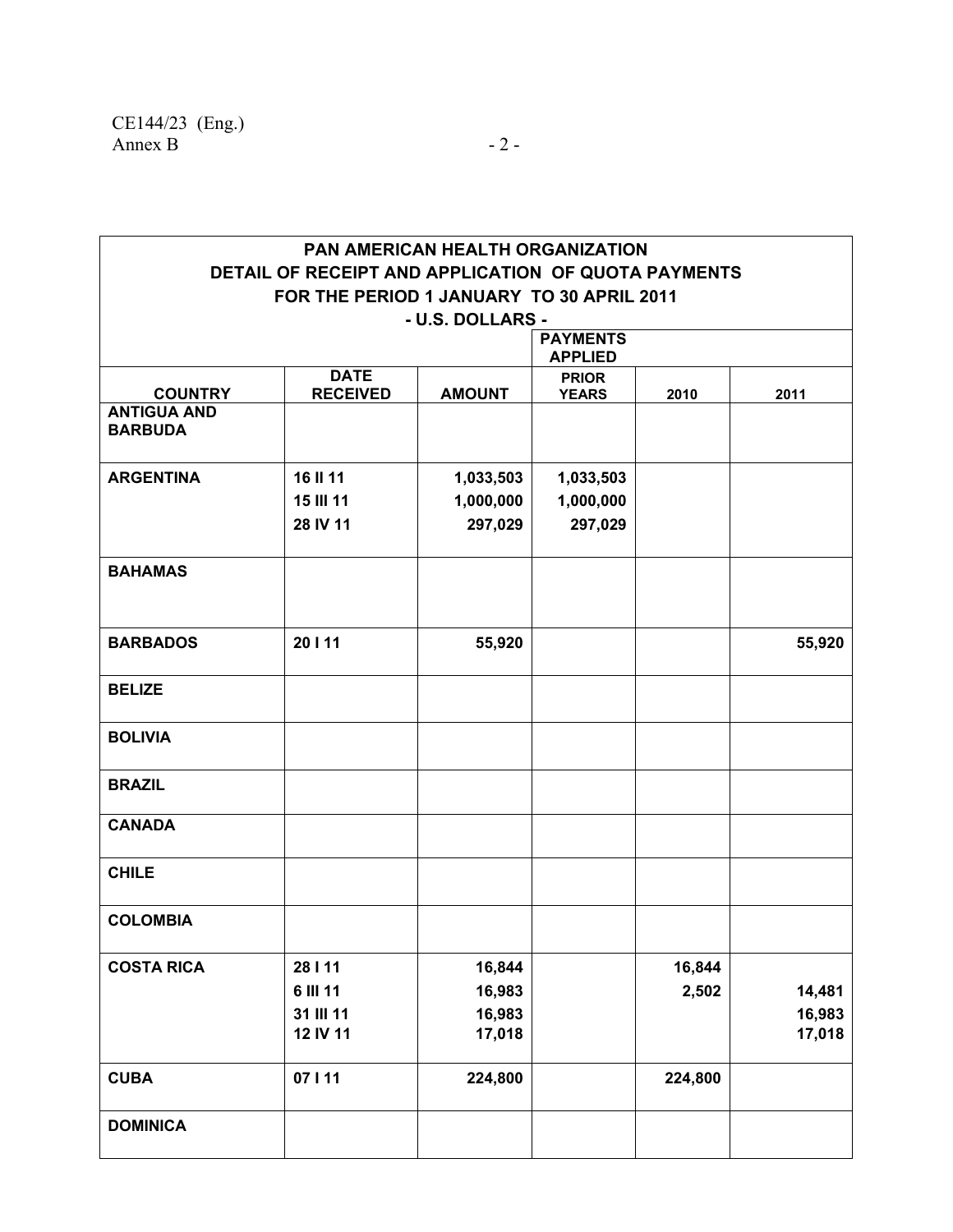| <b>PAN AMERICAN HEALTH ORGANIZATION</b> |                                                     |                  |                              |         |        |  |  |  |  |
|-----------------------------------------|-----------------------------------------------------|------------------|------------------------------|---------|--------|--|--|--|--|
|                                         | DETAIL OF RECEIPT AND APPLICATION OF QUOTA PAYMENTS |                  |                              |         |        |  |  |  |  |
|                                         | FOR THE PERIOD 1 JANUARY TO 30 APRIL 2011           |                  |                              |         |        |  |  |  |  |
|                                         |                                                     | - U.S. DOLLARS - |                              |         |        |  |  |  |  |
|                                         |                                                     |                  | <b>PAYMENTS</b>              |         |        |  |  |  |  |
|                                         | <b>DATE</b>                                         |                  | <b>APPLIED</b>               |         |        |  |  |  |  |
| <b>COUNTRY</b>                          | <b>RECEIVED</b>                                     | <b>AMOUNT</b>    | <b>PRIOR</b><br><b>YEARS</b> | 2010    | 2011   |  |  |  |  |
| <b>ANTIGUA AND</b><br><b>BARBUDA</b>    |                                                     |                  |                              |         |        |  |  |  |  |
| <b>ARGENTINA</b>                        | 16 II 11                                            | 1,033,503        | 1,033,503                    |         |        |  |  |  |  |
|                                         | <b>15 III 11</b>                                    | 1,000,000        | 1,000,000                    |         |        |  |  |  |  |
|                                         | 28 IV 11                                            | 297,029          | 297,029                      |         |        |  |  |  |  |
| <b>BAHAMAS</b>                          |                                                     |                  |                              |         |        |  |  |  |  |
| <b>BARBADOS</b>                         | 20   11                                             | 55,920           |                              |         | 55,920 |  |  |  |  |
| <b>BELIZE</b>                           |                                                     |                  |                              |         |        |  |  |  |  |
| <b>BOLIVIA</b>                          |                                                     |                  |                              |         |        |  |  |  |  |
| <b>BRAZIL</b>                           |                                                     |                  |                              |         |        |  |  |  |  |
| <b>CANADA</b>                           |                                                     |                  |                              |         |        |  |  |  |  |
| <b>CHILE</b>                            |                                                     |                  |                              |         |        |  |  |  |  |
| <b>COLOMBIA</b>                         |                                                     |                  |                              |         |        |  |  |  |  |
| <b>COSTA RICA</b>                       | 28   11                                             | 16,844           |                              | 16,844  |        |  |  |  |  |
|                                         | 6 III 11                                            | 16,983           |                              | 2,502   | 14,481 |  |  |  |  |
|                                         | 31 III 11                                           | 16,983           |                              |         | 16,983 |  |  |  |  |
|                                         | 12 IV 11                                            | 17,018           |                              |         | 17,018 |  |  |  |  |
| <b>CUBA</b>                             | 07   11                                             | 224,800          |                              | 224,800 |        |  |  |  |  |
| <b>DOMINICA</b>                         |                                                     |                  |                              |         |        |  |  |  |  |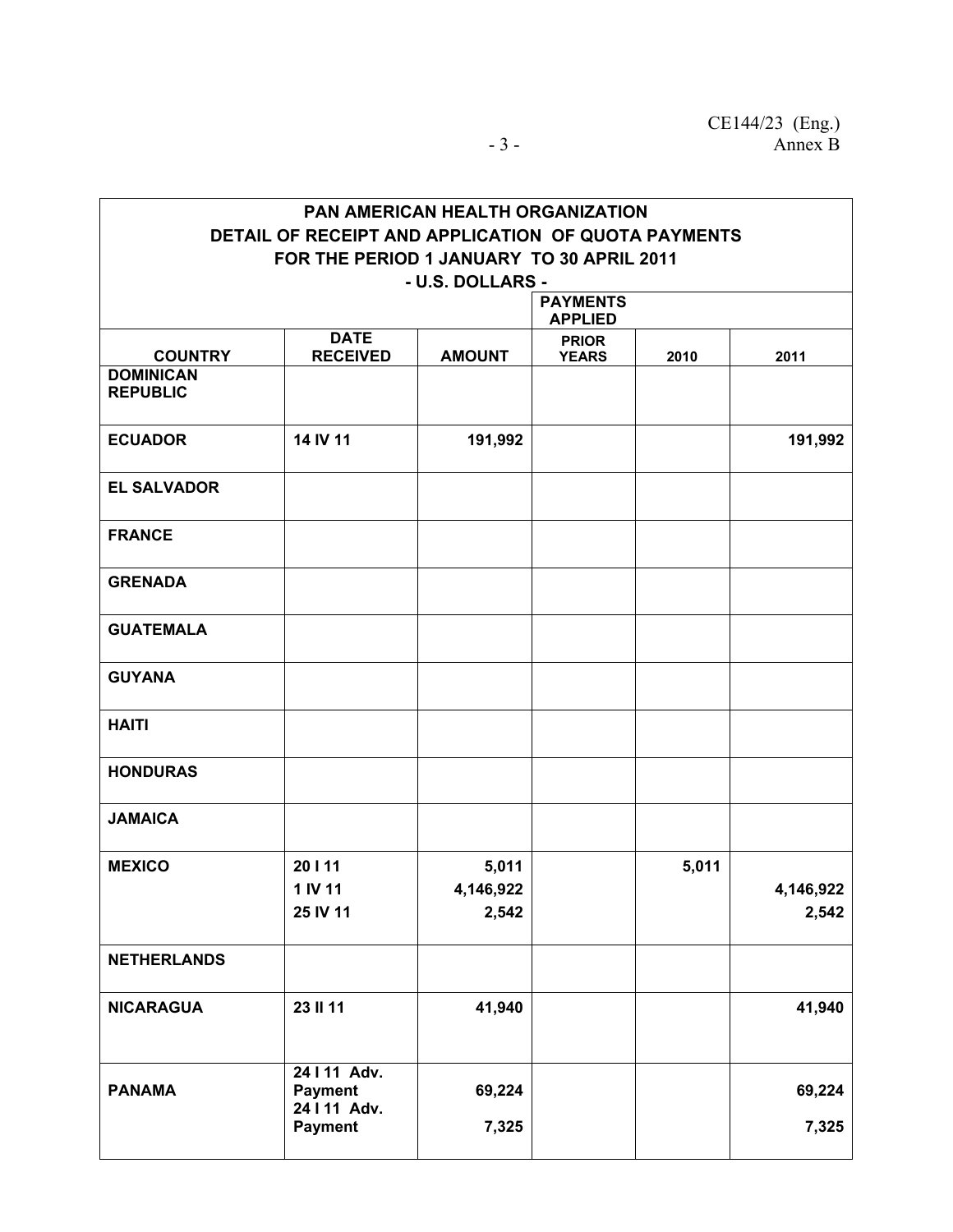|                                           |                                                     | <b>PAN AMERICAN HEALTH ORGANIZATION</b> |                                   |       |           |  |  |  |
|-------------------------------------------|-----------------------------------------------------|-----------------------------------------|-----------------------------------|-------|-----------|--|--|--|
|                                           | DETAIL OF RECEIPT AND APPLICATION OF QUOTA PAYMENTS |                                         |                                   |       |           |  |  |  |
| FOR THE PERIOD 1 JANUARY TO 30 APRIL 2011 |                                                     |                                         |                                   |       |           |  |  |  |
|                                           |                                                     | - U.S. DOLLARS -                        |                                   |       |           |  |  |  |
|                                           |                                                     |                                         | <b>PAYMENTS</b><br><b>APPLIED</b> |       |           |  |  |  |
| <b>COUNTRY</b>                            | <b>DATE</b><br><b>RECEIVED</b>                      | <b>AMOUNT</b>                           | <b>PRIOR</b><br><b>YEARS</b>      | 2010  | 2011      |  |  |  |
| <b>DOMINICAN</b><br><b>REPUBLIC</b>       |                                                     |                                         |                                   |       |           |  |  |  |
| <b>ECUADOR</b>                            | 14 IV 11                                            | 191,992                                 |                                   |       | 191,992   |  |  |  |
| <b>EL SALVADOR</b>                        |                                                     |                                         |                                   |       |           |  |  |  |
| <b>FRANCE</b>                             |                                                     |                                         |                                   |       |           |  |  |  |
| <b>GRENADA</b>                            |                                                     |                                         |                                   |       |           |  |  |  |
| <b>GUATEMALA</b>                          |                                                     |                                         |                                   |       |           |  |  |  |
| <b>GUYANA</b>                             |                                                     |                                         |                                   |       |           |  |  |  |
| <b>HAITI</b>                              |                                                     |                                         |                                   |       |           |  |  |  |
| <b>HONDURAS</b>                           |                                                     |                                         |                                   |       |           |  |  |  |
| <b>JAMAICA</b>                            |                                                     |                                         |                                   |       |           |  |  |  |
| <b>MEXICO</b>                             | 20   11                                             | 5,011                                   |                                   | 5,011 |           |  |  |  |
|                                           | 1 IV 11                                             | 4,146,922                               |                                   |       | 4,146,922 |  |  |  |
|                                           | 25 IV 11                                            | 2,542                                   |                                   |       | 2,542     |  |  |  |
| <b>NETHERLANDS</b>                        |                                                     |                                         |                                   |       |           |  |  |  |
| <b>NICARAGUA</b>                          | 23 II 11                                            | 41,940                                  |                                   |       | 41,940    |  |  |  |
| <b>PANAMA</b>                             | 24   11 Adv.<br><b>Payment</b><br>24   11 Adv.      | 69,224                                  |                                   |       | 69,224    |  |  |  |
|                                           | <b>Payment</b>                                      | 7,325                                   |                                   |       | 7,325     |  |  |  |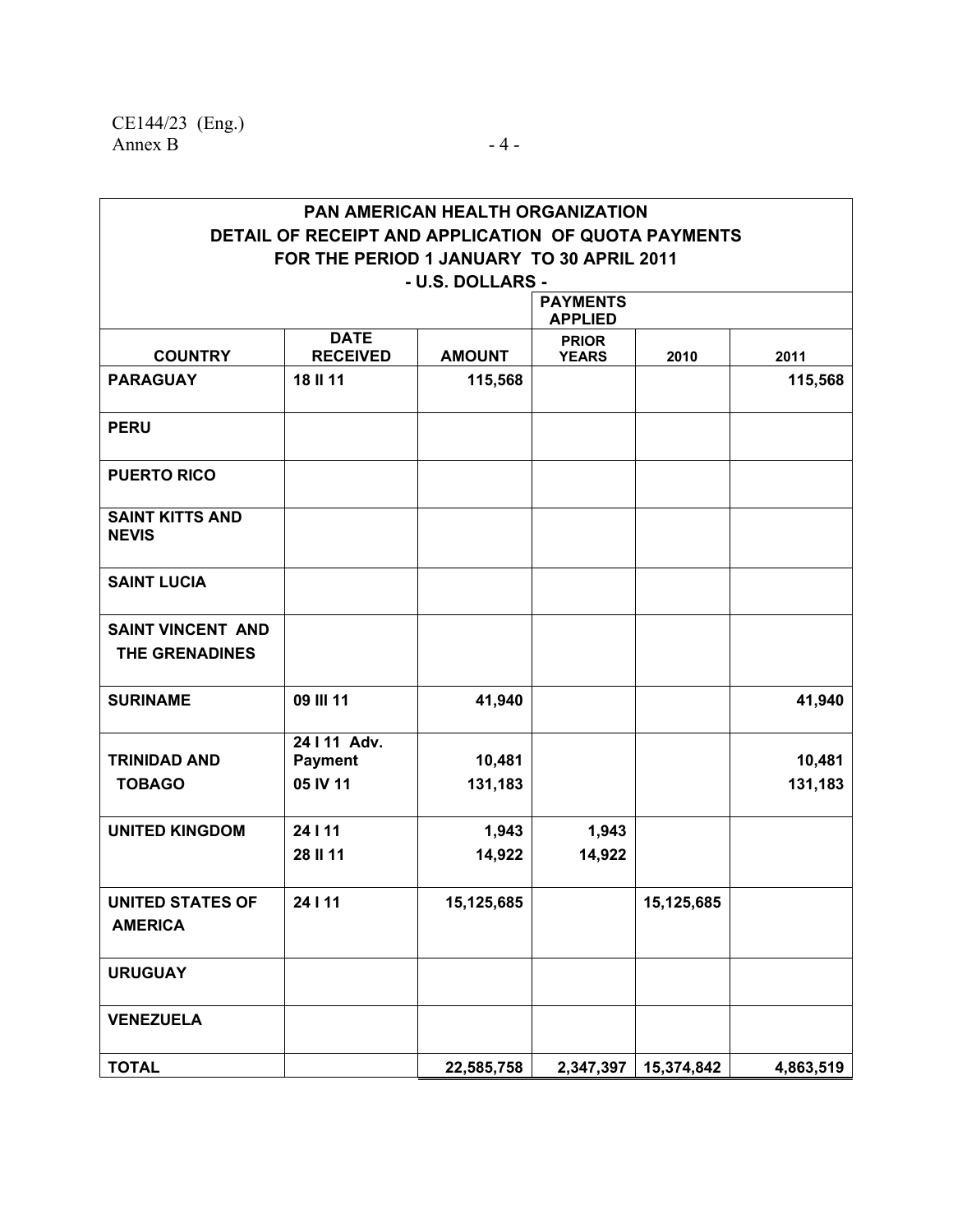|                                                   |                                                                                                  | <b>PAN AMERICAN HEALTH ORGANIZATION</b> |                                   |            |           |
|---------------------------------------------------|--------------------------------------------------------------------------------------------------|-----------------------------------------|-----------------------------------|------------|-----------|
|                                                   | DETAIL OF RECEIPT AND APPLICATION OF QUOTA PAYMENTS<br>FOR THE PERIOD 1 JANUARY TO 30 APRIL 2011 |                                         |                                   |            |           |
|                                                   |                                                                                                  | - U.S. DOLLARS -                        |                                   |            |           |
|                                                   |                                                                                                  |                                         | <b>PAYMENTS</b><br><b>APPLIED</b> |            |           |
|                                                   | <b>DATE</b>                                                                                      |                                         | <b>PRIOR</b>                      |            |           |
| <b>COUNTRY</b>                                    | <b>RECEIVED</b>                                                                                  | <b>AMOUNT</b>                           | <b>YEARS</b>                      | 2010       | 2011      |
| <b>PARAGUAY</b>                                   | 18 II 11                                                                                         | 115,568                                 |                                   |            | 115,568   |
| <b>PERU</b>                                       |                                                                                                  |                                         |                                   |            |           |
| <b>PUERTO RICO</b>                                |                                                                                                  |                                         |                                   |            |           |
| <b>SAINT KITTS AND</b><br><b>NEVIS</b>            |                                                                                                  |                                         |                                   |            |           |
| <b>SAINT LUCIA</b>                                |                                                                                                  |                                         |                                   |            |           |
| <b>SAINT VINCENT AND</b><br><b>THE GRENADINES</b> |                                                                                                  |                                         |                                   |            |           |
| <b>SURINAME</b>                                   | 09 III 11                                                                                        | 41,940                                  |                                   |            | 41,940    |
|                                                   | 24   11 Adv.                                                                                     |                                         |                                   |            |           |
| <b>TRINIDAD AND</b>                               | <b>Payment</b>                                                                                   | 10,481                                  |                                   |            | 10,481    |
| <b>TOBAGO</b>                                     | 05 IV 11                                                                                         | 131,183                                 |                                   |            | 131,183   |
| <b>UNITED KINGDOM</b>                             | 24   11                                                                                          | 1,943                                   | 1,943                             |            |           |
|                                                   | 28 II 11                                                                                         | 14,922                                  | 14,922                            |            |           |
| <b>UNITED STATES OF</b><br><b>AMERICA</b>         | 24   11                                                                                          | 15,125,685                              |                                   | 15,125,685 |           |
| <b>URUGUAY</b>                                    |                                                                                                  |                                         |                                   |            |           |
| <b>VENEZUELA</b>                                  |                                                                                                  |                                         |                                   |            |           |
| <b>TOTAL</b>                                      |                                                                                                  | 22,585,758                              | 2,347,397                         | 15,374,842 | 4,863,519 |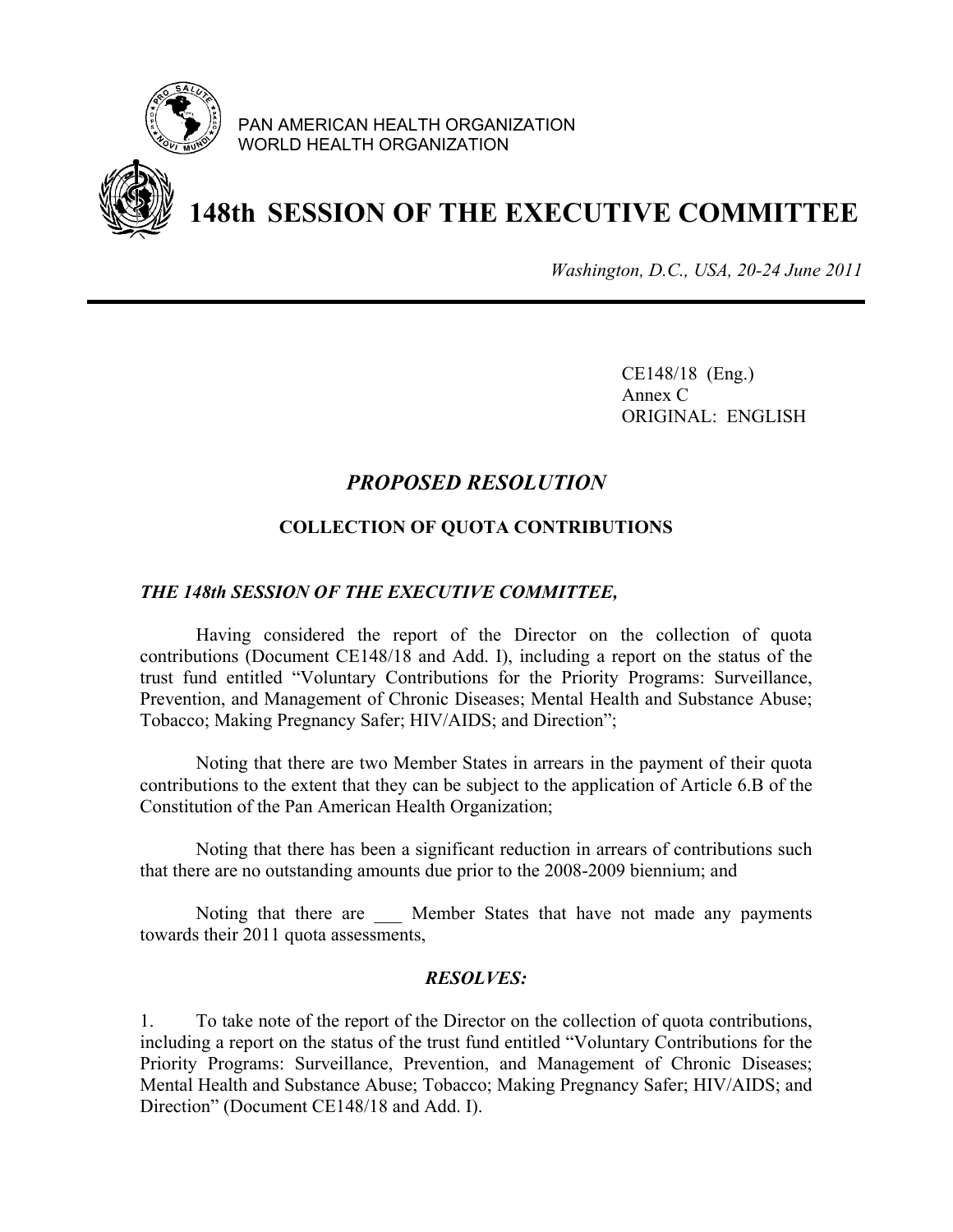

PAN AMERICAN HEALTH ORGANIZATION WORLD HEALTH ORGANIZATION



## **148th SESSION OF THE EXECUTIVE COMMITTEE**

*Washington, D.C., USA, 20-24 June 2011*

 CE148/18 (Eng.) Annex C ORIGINAL: ENGLISH

## *PROPOSED RESOLUTION*

### **COLLECTION OF QUOTA CONTRIBUTIONS**

### *THE 148th SESSION OF THE EXECUTIVE COMMITTEE,*

 Having considered the report of the Director on the collection of quota contributions (Document CE148/18 and Add. I), including a report on the status of the trust fund entitled "Voluntary Contributions for the Priority Programs: Surveillance, Prevention, and Management of Chronic Diseases; Mental Health and Substance Abuse; Tobacco; Making Pregnancy Safer; HIV/AIDS; and Direction";

 Noting that there are two Member States in arrears in the payment of their quota contributions to the extent that they can be subject to the application of Article 6.B of the Constitution of the Pan American Health Organization;

 Noting that there has been a significant reduction in arrears of contributions such that there are no outstanding amounts due prior to the 2008-2009 biennium; and

Noting that there are **Member States that have not made any payments** towards their 2011 quota assessments,

### *RESOLVES:*

1. To take note of the report of the Director on the collection of quota contributions, including a report on the status of the trust fund entitled "Voluntary Contributions for the Priority Programs: Surveillance, Prevention, and Management of Chronic Diseases; Mental Health and Substance Abuse; Tobacco; Making Pregnancy Safer; HIV/AIDS; and Direction" (Document CE148/18 and Add. I).